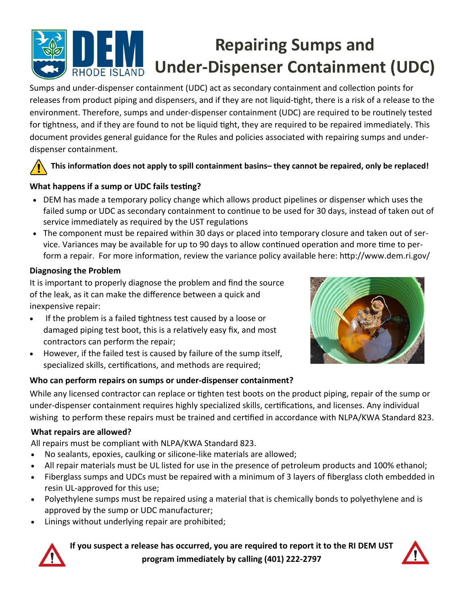

Sumps and under-dispenser containment (UDC) act as secondary containment and collection points for releases from product piping and dispensers, and if they are not liquid-tight, there is a risk of a release to the environment. Therefore, sumps and under-dispenser containment (UDC) are required to be routinely tested for tightness, and if they are found to not be liquid tight, they are required to be repaired immediately. This document provides general guidance for the Rules and policies associated with repairing sumps and under‐ dispenser containment.

# **This informaƟon does not apply to spill containment basins– they cannot be repaired, only be replaced!**

# **What happens if a sump or UDC fails testing?**

- DEM has made a temporary policy change which allows product pipelines or dispenser which uses the failed sump or UDC as secondary containment to continue to be used for 30 days, instead of taken out of service immediately as required by the UST regulations
- The component must be repaired within 30 days or placed into temporary closure and taken out of service. Variances may be available for up to 90 days to allow continued operation and more time to perform a repair. For more information, review the variance policy available here: http://www.dem.ri.gov/

### **Diagnosing the Problem**

It is important to properly diagnose the problem and find the source of the leak, as it can make the difference between a quick and inexpensive repair:

- If the problem is a failed tightness test caused by a loose or damaged piping test boot, this is a relatively easy fix, and most contractors can perform the repair;
- However, if the failed test is caused by failure of the sump itself, specialized skills, certifications, and methods are required;

# **Who can perform repairs on sumps or under‐dispenser containment?**



While any licensed contractor can replace or tighten test boots on the product piping, repair of the sump or under-dispenser containment requires highly specialized skills, certifications, and licenses. Any individual wishing to perform these repairs must be trained and certified in accordance with NLPA/KWA Standard 823.

## **What repairs are allowed?**

All repairs must be compliant with NLPA/KWA Standard 823.

- No sealants, epoxies, caulking or silicone-like materials are allowed;
- All repair materials must be UL listed for use in the presence of petroleum products and 100% ethanol;
- Fiberglass sumps and UDCs must be repaired with a minimum of 3 layers of fiberglass cloth embedded in resin UL‐approved for this use;
- Polyethylene sumps must be repaired using a material that is chemically bonds to polyethylene and is approved by the sump or UDC manufacturer;
- Linings without underlying repair are prohibited;



**If you suspect a release has occurred, you are required to report it to the RI DEM UST program immediately by calling (401) 222‐2797**